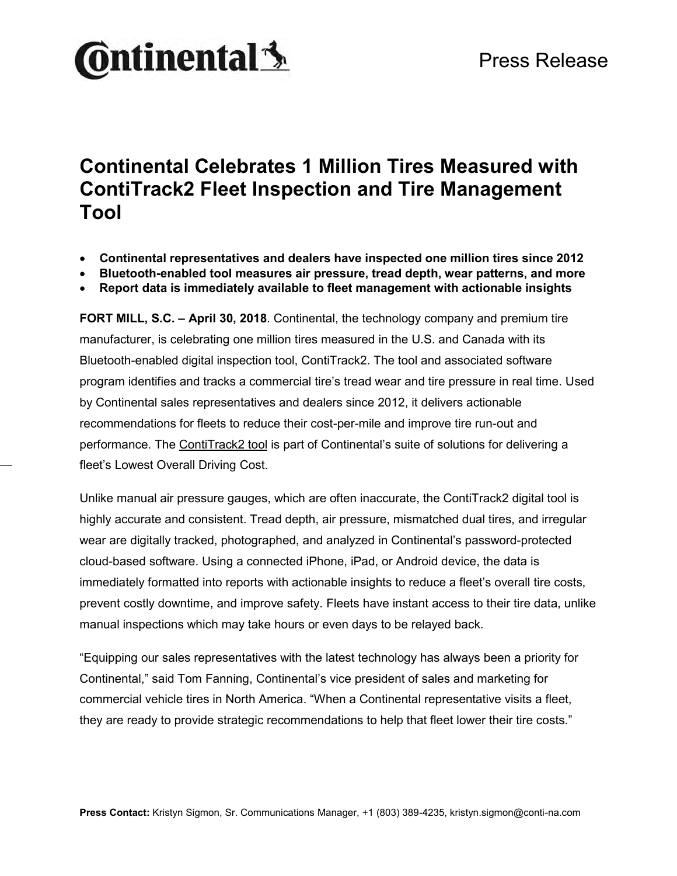

### **Continental Celebrates 1 Million Tires Measured with ContiTrack2 Fleet Inspection and Tire Management Tool**

- **Continental representatives and dealers have inspected one million tires since 2012**
- **Bluetooth-enabled tool measures air pressure, tread depth, wear patterns, and more**
- **Report data is immediately available to fleet management with actionable insights**

**FORT MILL, S.C. – April 30, 2018**. Continental, the technology company and premium tire manufacturer, is celebrating one million tires measured in the U.S. and Canada with its Bluetooth-enabled digital inspection tool, ContiTrack2. The tool and associated software program identifies and tracks a commercial tire's tread wear and tire pressure in real time. Used by Continental sales representatives and dealers since 2012, it delivers actionable recommendations for fleets to reduce their cost-per-mile and improve tire run-out and performance. The [ContiTrack2 tool](https://www.continental-truck.com/truck/fleetsolutions/contitrack2) is part of Continental's suite of solutions for delivering a fleet's Lowest Overall Driving Cost.

Unlike manual air pressure gauges, which are often inaccurate, the ContiTrack2 digital tool is highly accurate and consistent. Tread depth, air pressure, mismatched dual tires, and irregular wear are digitally tracked, photographed, and analyzed in Continental's password-protected cloud-based software. Using a connected iPhone, iPad, or Android device, the data is immediately formatted into reports with actionable insights to reduce a fleet's overall tire costs, prevent costly downtime, and improve safety. Fleets have instant access to their tire data, unlike manual inspections which may take hours or even days to be relayed back.

"Equipping our sales representatives with the latest technology has always been a priority for Continental," said Tom Fanning, Continental's vice president of sales and marketing for commercial vehicle tires in North America. "When a Continental representative visits a fleet, they are ready to provide strategic recommendations to help that fleet lower their tire costs."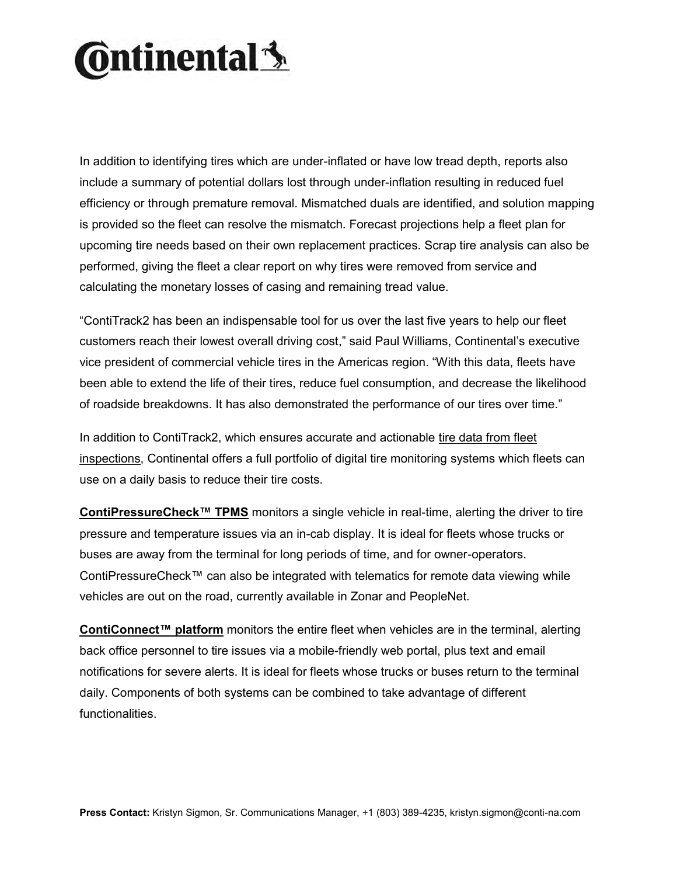# **Ontinental** \$

In addition to identifying tires which are under-inflated or have low tread depth, reports also include a summary of potential dollars lost through under-inflation resulting in reduced fuel efficiency or through premature removal. Mismatched duals are identified, and solution mapping is provided so the fleet can resolve the mismatch. Forecast projections help a fleet plan for upcoming tire needs based on their own replacement practices. Scrap tire analysis can also be performed, giving the fleet a clear report on why tires were removed from service and calculating the monetary losses of casing and remaining tread value.

"ContiTrack2 has been an indispensable tool for us over the last five years to help our fleet customers reach their lowest overall driving cost," said Paul Williams, Continental's executive vice president of commercial vehicle tires in the Americas region. "With this data, fleets have been able to extend the life of their tires, reduce fuel consumption, and decrease the likelihood of roadside breakdowns. It has also demonstrated the performance of our tires over time."

In addition to ContiTrack2, which ensures accurate and actionable [tire data from fleet](https://www.continental-truck.com/truck/fleetsolutions/contitrack2)  [inspections,](https://www.continental-truck.com/truck/fleetsolutions/contitrack2) Continental offers a full portfolio of digital tire monitoring systems which fleets can use on a daily basis to reduce their tire costs.

**[ContiPressureCheck™ TPMS](https://www.continental-truck.com/truck/products/overview-product-lines/contipressurecheck)** monitors a single vehicle in real-time, alerting the driver to tire pressure and temperature issues via an in-cab display. It is ideal for fleets whose trucks or buses are away from the terminal for long periods of time, and for owner-operators. ContiPressureCheck™ can also be integrated with telematics for remote data viewing while vehicles are out on the road, currently available in Zonar and PeopleNet.

**[ContiConnect™](https://www.continental-truck.com/truck/tire-monitoring/conticonnect) platform** monitors the entire fleet when vehicles are in the terminal, alerting back office personnel to tire issues via a mobile-friendly web portal, plus text and email notifications for severe alerts. It is ideal for fleets whose trucks or buses return to the terminal daily. Components of both systems can be combined to take advantage of different functionalities.